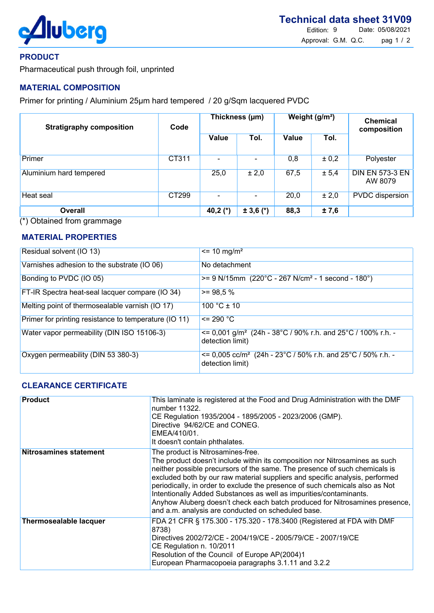

### PRODUCT

Pharmaceutical push through foil, unprinted

# MATERIAL COMPOSITION

Primer for printing / Aluminium 25µm hard tempered / 20 g/Sqm lacquered PVDC

| <b>Stratigraphy composition</b> | Code  | Thickness (µm) |               | Weight (g/m <sup>2</sup> ) |       | <b>Chemical</b><br>composition    |
|---------------------------------|-------|----------------|---------------|----------------------------|-------|-----------------------------------|
|                                 |       | <b>Value</b>   | Tol.          | Value                      | Tol.  |                                   |
| Primer                          | CT311 |                |               | 0,8                        | ± 0,2 | Polyester                         |
| Aluminium hard tempered         |       | 25,0           | ± 2,0         | 67,5                       | ± 5,4 | <b>DIN EN 573-3 EN</b><br>AW 8079 |
| Heat seal                       | CT299 |                |               | 20,0                       | ± 2,0 | <b>PVDC</b> dispersion            |
| <b>Overall</b>                  |       | 40,2 $(*)$     | $\pm 3,6$ (*) | 88,3                       | ±7,6  |                                   |

(\*) Obtained from grammage

# MATERIAL PROPERTIES

| Residual solvent (IO 13)                              | $\epsilon$ = 10 mg/m <sup>2</sup>                                                                     |
|-------------------------------------------------------|-------------------------------------------------------------------------------------------------------|
| Varnishes adhesion to the substrate (IO 06)           | No detachment                                                                                         |
| Bonding to PVDC (IO 05)                               | $>= 9$ N/15mm (220°C - 267 N/cm <sup>2</sup> - 1 second - 180°)                                       |
| FT-IR Spectra heat-seal lacquer compare (IO 34)       | $>= 98.5 %$                                                                                           |
| Melting point of thermosealable varnish (IO 17)       | $100 °C \pm 10$                                                                                       |
| Primer for printing resistance to temperature (IO 11) | $\leq$ 290 °C                                                                                         |
| Water vapor permeability (DIN ISO 15106-3)            | $\epsilon$ = 0,001 g/m <sup>2</sup> (24h - 38°C / 90% r.h. and 25°C / 100% r.h. -<br>detection limit) |
| Oxygen permeability (DIN 53 380-3)                    | $\epsilon$ = 0,005 cc/m <sup>2</sup> (24h - 23°C / 50% r.h. and 25°C / 50% r.h. -<br>detection limit) |

### CLEARANCE CERTIFICATE

| <b>Product</b>                | This laminate is registered at the Food and Drug Administration with the DMF<br>number 11322.<br>CE Regulation 1935/2004 - 1895/2005 - 2023/2006 (GMP).<br>Directive 94/62/CE and CONEG.<br>EMEA/410/01.<br>It doesn't contain phthalates.                                                                                                                                                                                                                                                                                                                                |
|-------------------------------|---------------------------------------------------------------------------------------------------------------------------------------------------------------------------------------------------------------------------------------------------------------------------------------------------------------------------------------------------------------------------------------------------------------------------------------------------------------------------------------------------------------------------------------------------------------------------|
| <b>Nitrosamines statement</b> | The product is Nitrosamines-free.<br>The product doesn't include within its composition nor Nitrosamines as such<br>neither possible precursors of the same. The presence of such chemicals is<br>excluded both by our raw material suppliers and specific analysis, performed<br>periodically, in order to exclude the presence of such chemicals also as Not<br>Intentionally Added Substances as well as impurities/contaminants.<br>Anyhow Aluberg doesn't check each batch produced for Nitrosamines presence,<br>and a.m. analysis are conducted on scheduled base. |
| <b>Thermosealable lacquer</b> | FDA 21 CFR § 175.300 - 175.320 - 178.3400 (Registered at FDA with DMF<br>8738)<br>Directives 2002/72/CE - 2004/19/CE - 2005/79/CE - 2007/19/CE<br>CE Regulation n. 10/2011<br>Resolution of the Council of Europe AP(2004)1<br>European Pharmacopoeia paragraphs 3.1.11 and 3.2.2                                                                                                                                                                                                                                                                                         |